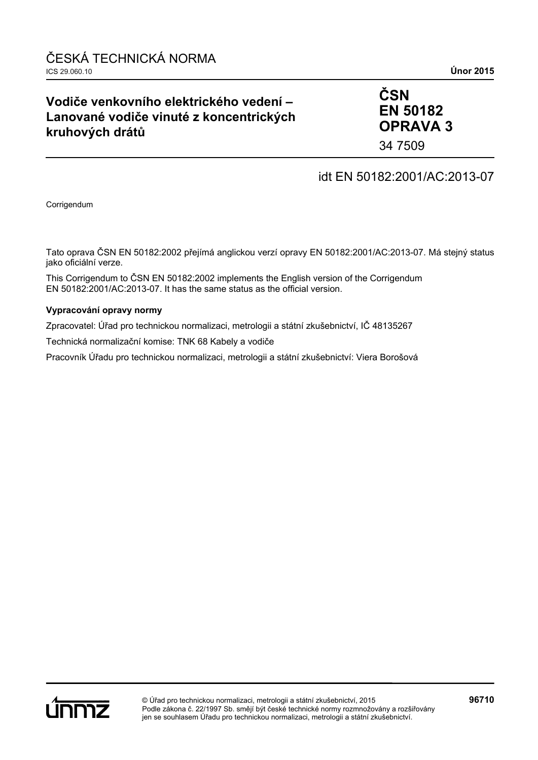# **Vodiče venkovního elektrického vedení – Lanované vodiče vinuté z koncentrických kruhových drátů**

**ČSN EN 50182 OPRAVA 3**  34 7509

# idt EN 50182:2001/AC:2013-07

Corrigendum

Tato oprava ČSN EN 50182:2002 přejímá anglickou verzí opravy EN 50182:2001/AC:2013-07. Má stejný status jako oficiální verze.

This Corrigendum to ČSN EN 50182:2002 implements the English version of the Corrigendum EN 50182:2001/AC:2013-07. It has the same status as the official version.

#### **Vypracování opravy normy**

Zpracovatel: Úřad pro technickou normalizaci, metrologii a státní zkušebnictví, IČ 48135267

Technická normalizační komise: TNK 68 Kabely a vodiče

Pracovník Úřadu pro technickou normalizaci, metrologii a státní zkušebnictví: Viera Borošová

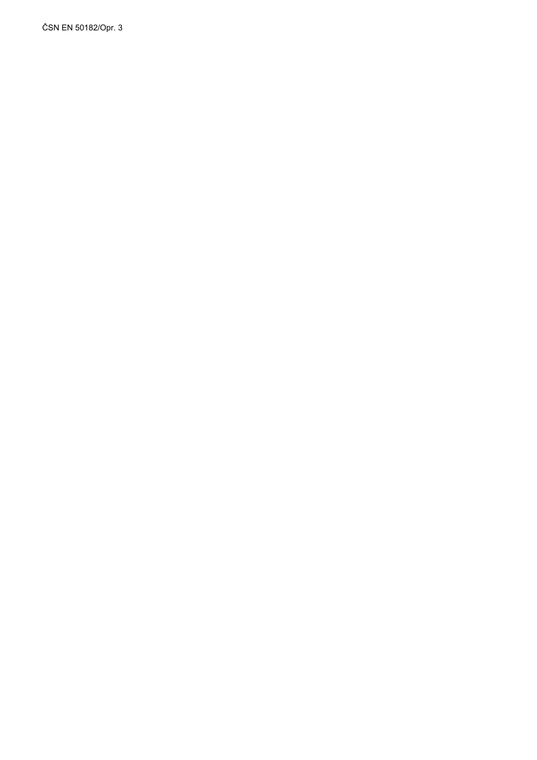ČSN EN 50182/Opr. 3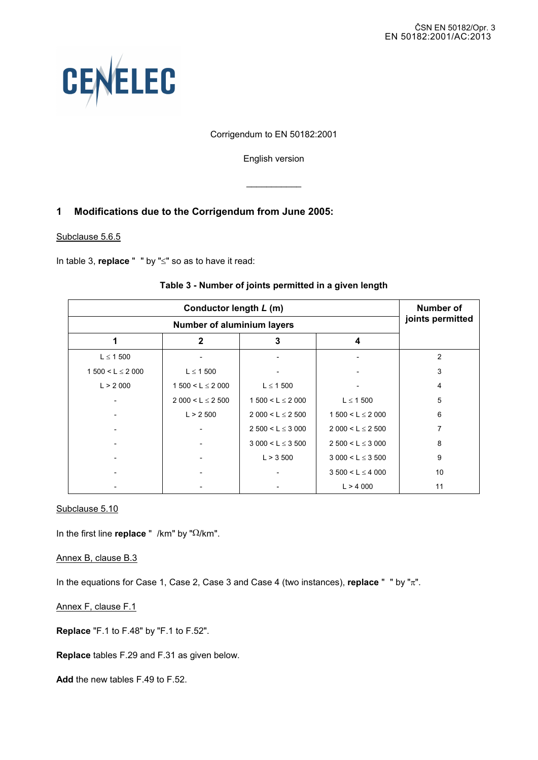

Corrigendum to EN 50182:2001

English version

 $\frac{1}{2}$  ,  $\frac{1}{2}$  ,  $\frac{1}{2}$  ,  $\frac{1}{2}$  ,  $\frac{1}{2}$  ,  $\frac{1}{2}$ 

### **1 Modifications due to the Corrigendum from June 2005:**

Subclause 5.6.5

In table 3, **replace** " " by " \'s" so as to have it read:

|                     | <b>Number of</b>       |                      |                      |    |  |  |  |  |  |  |  |  |
|---------------------|------------------------|----------------------|----------------------|----|--|--|--|--|--|--|--|--|
|                     |                        | joints permitted     |                      |    |  |  |  |  |  |  |  |  |
|                     | $\mathbf{2}$<br>3<br>4 |                      |                      |    |  |  |  |  |  |  |  |  |
| $L \le 1500$        |                        |                      |                      | 2  |  |  |  |  |  |  |  |  |
| $1500 < L \le 2000$ | $L \leq 1500$          |                      |                      | 3  |  |  |  |  |  |  |  |  |
| L > 2000            | $1500 < L \le 2000$    | $L \leq 1500$        |                      | 4  |  |  |  |  |  |  |  |  |
|                     | 2000 < L < 2500        | 1,500 < L < 2,000    | $L \leq 1500$        | 5  |  |  |  |  |  |  |  |  |
|                     | L > 2500               | $2000 < L \le 2500$  | $1500 < L \le 2000$  | 6  |  |  |  |  |  |  |  |  |
|                     |                        | $2500 < L \leq 3000$ | $2000 < L \le 2500$  | 7  |  |  |  |  |  |  |  |  |
|                     |                        | $3000 < L \leq 3500$ | $2500 < L \leq 3000$ | 8  |  |  |  |  |  |  |  |  |
|                     |                        | L > 3500             | $3000 < L \leq 3500$ | 9  |  |  |  |  |  |  |  |  |
|                     |                        |                      | $3500 < L \leq 4000$ | 10 |  |  |  |  |  |  |  |  |
|                     |                        |                      | L > 4000             | 11 |  |  |  |  |  |  |  |  |

#### **Table 3 - Number of joints permitted in a given length**

#### Subclause 5.10

In the first line **replace** " /km" by " $\Omega$ /km".

Annex B, clause B.3

In the equations for Case 1, Case 2, Case 3 and Case 4 (two instances), **replace** " " by " $\pi$ ".

Annex F, clause F.1

**Replace** "F.1 to F.48" by "F.1 to F.52".

**Replace** tables F.29 and F.31 as given below.

**Add** the new tables F.49 to F.52.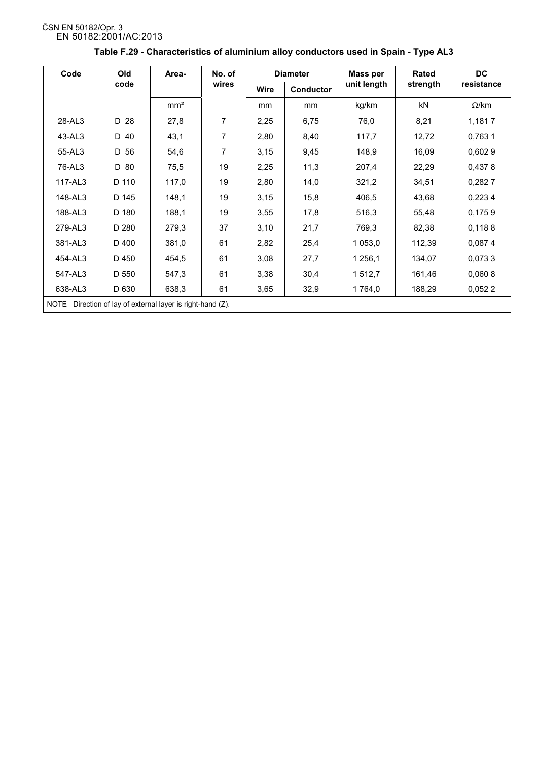| Code        | Old   | Area-                                                 | No. of         |             | <b>Diameter</b> | Mass per    | Rated    | <b>DC</b>    |
|-------------|-------|-------------------------------------------------------|----------------|-------------|-----------------|-------------|----------|--------------|
|             | code  |                                                       | wires          | <b>Wire</b> | Conductor       | unit length | strength | resistance   |
|             |       | mm <sup>2</sup>                                       |                | mm          | mm              | kg/km       | kN       | $\Omega$ /km |
| 28-AL3      | D 28  | 27,8                                                  | $\overline{7}$ | 2,25        | 6,75            | 76,0        | 8,21     | 1,1817       |
| $43 - AL3$  | D 40  | 43,1                                                  | 7              | 2,80        | 8,40            | 117,7       | 12,72    | 0,7631       |
| 55-AL3      | D 56  | 54,6                                                  | $\overline{7}$ | 3,15        | 9,45            | 148,9       | 16,09    | 0,6029       |
| 76-AL3      | D 80  | 75,5                                                  | 19             | 2,25        | 11,3            | 207,4       | 22,29    | 0,4378       |
| 117-AL3     | D 110 | 117,0                                                 | 19             | 2,80        | 14,0            | 321,2       | 34,51    | 0,2827       |
| 148-AL3     | D 145 | 148,1                                                 | 19             | 3,15        | 15,8            | 406,5       | 43,68    | 0,2234       |
| 188-AL3     | D 180 | 188,1                                                 | 19             | 3,55        | 17,8            | 516,3       | 55,48    | 0,1759       |
| 279-AL3     | D 280 | 279,3                                                 | 37             | 3,10        | 21,7            | 769,3       | 82,38    | 0,1188       |
| 381-AL3     | D 400 | 381,0                                                 | 61             | 2,82        | 25,4            | 1 053,0     | 112,39   | 0,0874       |
| 454-AL3     | D 450 | 454,5                                                 | 61             | 3,08        | 27,7            | 1 256,1     | 134,07   | 0,0733       |
| 547-AL3     | D 550 | 547,3                                                 | 61             | 3,38        | 30,4            | 1 512,7     | 161,46   | 0,0608       |
| 638-AL3     | D 630 | 638,3                                                 | 61             | 3,65        | 32,9            | 1764,0      | 188,29   | 0,0522       |
| <b>NOTE</b> |       | Direction of lay of external layer is right-hand (Z). |                |             |                 |             |          |              |

## **Table F.29 - Characteristics of aluminium alloy conductors used in Spain - Type AL3**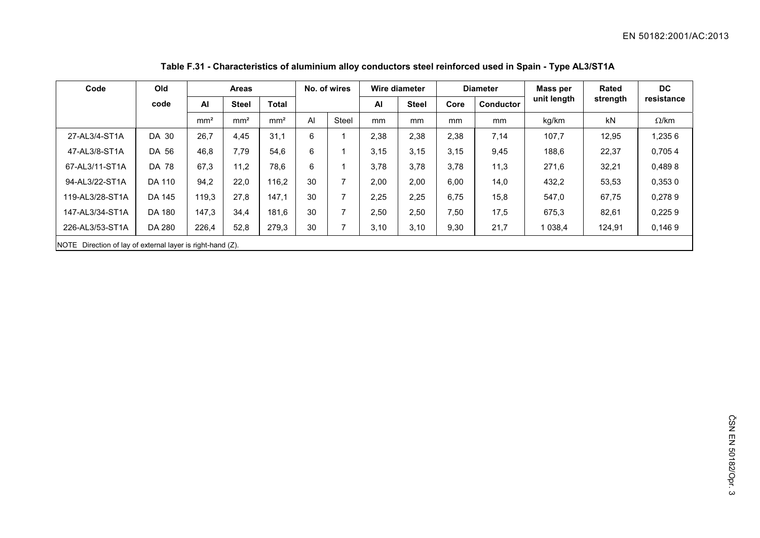| Code                                                       | Old    |                 | <b>Areas</b>    |                 |    | No. of wires |              | Wire diameter |      | <b>Diameter</b>  | Mass per    | Rated    | DC.<br>resistance |
|------------------------------------------------------------|--------|-----------------|-----------------|-----------------|----|--------------|--------------|---------------|------|------------------|-------------|----------|-------------------|
|                                                            | code   | AI              | <b>Steel</b>    | <b>Total</b>    |    |              | $\mathsf{A}$ | <b>Steel</b>  | Core | <b>Conductor</b> | unit length | strength |                   |
|                                                            |        | mm <sup>2</sup> | mm <sup>2</sup> | mm <sup>2</sup> | Al | <b>Steel</b> | mm           | mm            | mm   | mm               | kg/km       | kN       | $\Omega$ /km      |
| 27-AL3/4-ST1A                                              | DA 30  | 26,7            | 4,45            | 31.1            | 6  |              | 2,38         | 2,38          | 2,38 | 7,14             | 107,7       | 12,95    | 1,2356            |
| 47-AL3/8-ST1A                                              | DA 56  | 46,8            | 7,79            | 54.6            | 6  |              | 3.15         | 3.15          | 3,15 | 9,45             | 188,6       | 22,37    | 0,7054            |
| 67-AL3/11-ST1A                                             | DA 78  | 67,3            | 11,2            | 78.6            | 6  |              | 3,78         | 3,78          | 3,78 | 11,3             | 271,6       | 32,21    | 0,4898            |
| 94-AL3/22-ST1A                                             | DA 110 | 94,2            | 22,0            | 116.2           | 30 | 7            | 2,00         | 2,00          | 6,00 | 14,0             | 432,2       | 53,53    | 0,3530            |
| 119-AL3/28-ST1A                                            | DA 145 | 119,3           | 27,8            | 147.1           | 30 |              | 2,25         | 2.25          | 6,75 | 15.8             | 547,0       | 67,75    | 0,2789            |
| 147-AL3/34-ST1A                                            | DA 180 | 147,3           | 34,4            | 181.6           | 30 | ⇁            | 2,50         | 2,50          | 7,50 | 17,5             | 675,3       | 82,61    | 0,2259            |
| 226-AL3/53-ST1A                                            | DA 280 | 226,4           | 52,8            | 279.3           | 30 |              | 3,10         | 3,10          | 9,30 | 21,7             | 1 0 38,4    | 124,91   | 0.1469            |
| NOTE Direction of lay of external layer is right-hand (Z). |        |                 |                 |                 |    |              |              |               |      |                  |             |          |                   |

**Table F.31 - Characteristics of aluminium alloy conductors steel reinforced used in Spain - Type AL3/ST1A**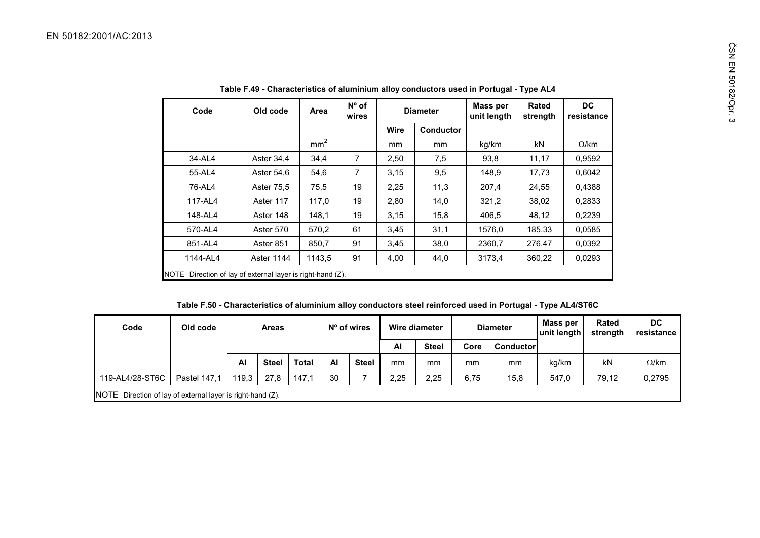| Code                                                       | Old code          | Area            | $No$ of<br>wires |                                 | <b>Diameter</b> | <b>Mass per</b><br>unit length | Rated<br>strength | DC.<br>resistance |
|------------------------------------------------------------|-------------------|-----------------|------------------|---------------------------------|-----------------|--------------------------------|-------------------|-------------------|
|                                                            |                   |                 |                  | <b>Wire</b><br><b>Conductor</b> |                 |                                |                   |                   |
|                                                            |                   | mm <sup>2</sup> |                  | mm                              | mm              | kg/km                          | kN                | $\Omega$ /km      |
| 34-AL4                                                     | <b>Aster 34,4</b> | 34,4            | 7                | 2,50                            | 7,5             | 93,8                           | 11,17             | 0,9592            |
| 55-AL4                                                     | Aster 54,6        | 54,6            | 7                | 3,15                            | 9,5             | 148.9                          | 17,73             | 0,6042            |
| 76-AL4                                                     | <b>Aster 75.5</b> | 75,5            | 19               | 2,25                            | 11,3            | 207,4                          | 24,55             | 0,4388            |
| 117-AL4                                                    | Aster 117         | 117,0           | 19               | 2,80                            | 14,0            | 321,2                          | 38,02             | 0.2833            |
| 148-AL4                                                    | Aster 148         | 148,1           | 19               | 3,15                            | 15,8            | 406,5                          | 48,12             | 0,2239            |
| 570-AL4                                                    | Aster 570         | 570,2           | 61               | 3,45                            | 31,1            | 1576,0                         | 185,33            | 0,0585            |
| 851-AL4                                                    | Aster 851         | 850,7           | 91               | 3,45                            | 38,0            | 2360.7                         | 276,47            | 0.0392            |
| 1144-AL4                                                   | Aster 1144        | 1143,5          | 91               | 4,00                            | 44,0            | 3173,4                         | 360,22            | 0,0293            |
| NOTE Direction of lay of external layer is right-hand (Z). |                   |                 |                  |                                 |                 |                                |                   |                   |

**Table F.49 - Characteristics of aluminium alloy conductors used in Portugal - Type AL4** 

**Table F.50 - Characteristics of aluminium alloy conductors steel reinforced used in Portugal - Type AL4/ST6C** 

| Code                                                       | Old code     | <b>Areas</b> |              |              |    | $N^{\circ}$ of wires | Wire diameter |              |      | <b>Diameter</b>  | Mass per<br>unit length | <b>Rated</b><br>strength | DC<br>resistance |
|------------------------------------------------------------|--------------|--------------|--------------|--------------|----|----------------------|---------------|--------------|------|------------------|-------------------------|--------------------------|------------------|
|                                                            |              |              |              |              |    |                      | Al            | <b>Steel</b> | Core | <b>Conductor</b> |                         |                          |                  |
|                                                            |              | Αl           | <b>Steel</b> | <b>Total</b> | AI | <b>Steel</b>         | mm            | mm           | mm   | mm               | kg/km                   | kN                       | $\Omega$ /km     |
| 119-AL4/28-ST6C                                            | Pastel 147.1 | 119.3        | 27.8         | 147.1        | 30 |                      | 2,25          | 2,25         | 6.75 | 15,8             | 547,0                   | 79.12                    | 0.2795           |
| NOTE Direction of lay of external layer is right-hand (Z). |              |              |              |              |    |                      |               |              |      |                  |                         |                          |                  |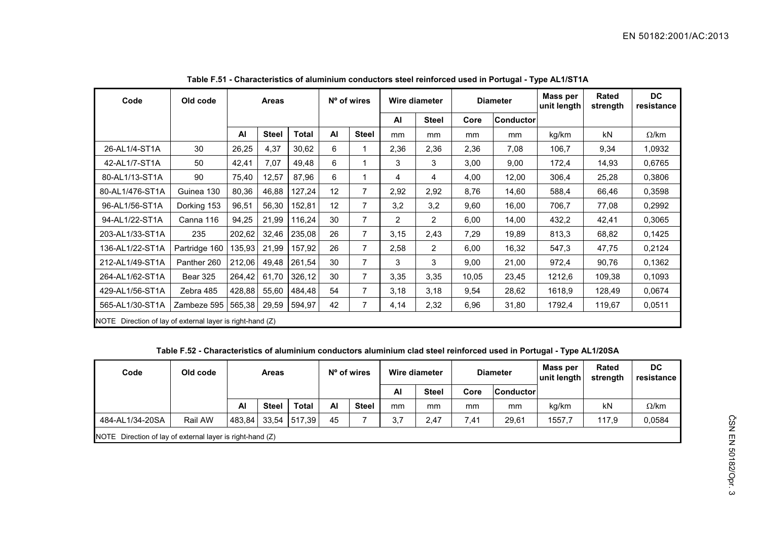| Code                                                      | Old code        |           | <b>Areas</b> |        | Nº of wires |              | Wire diameter  |                | <b>Diameter</b>          |       | <b>Mass per</b><br>unit length | <b>Rated</b><br>strength | DC.<br>resistance |
|-----------------------------------------------------------|-----------------|-----------|--------------|--------|-------------|--------------|----------------|----------------|--------------------------|-------|--------------------------------|--------------------------|-------------------|
|                                                           |                 |           |              |        |             |              | AI             | <b>Steel</b>   | <b>Conductor</b><br>Core |       |                                |                          |                   |
|                                                           |                 | <b>AI</b> | <b>Steel</b> | Total  | <b>AI</b>   | <b>Steel</b> | mm             | mm             | mm                       | mm    | kg/km                          | kN                       | $\Omega$ /km      |
| 26-AL1/4-ST1A                                             | 30              | 26,25     | 4,37         | 30,62  | 6           | 1            | 2,36           | 2,36           | 2,36                     | 7,08  | 106,7                          | 9,34                     | 1,0932            |
| 42-AL1/7-ST1A                                             | 50              | 42,41     | 7,07         | 49,48  | 6           | 1            | 3              | 3              | 3,00                     | 9,00  | 172,4                          | 14,93                    | 0,6765            |
| 80-AL1/13-ST1A                                            | 90              | 75,40     | 12,57        | 87,96  | 6           | 1            | 4              | 4              | 4,00                     | 12,00 | 306,4                          | 25,28                    | 0,3806            |
| 80-AL1/476-ST1A                                           | Guinea 130      | 80,36     | 46,88        | 127,24 | 12          | 7            | 2,92           | 2,92           | 8,76                     | 14,60 | 588,4                          | 66,46                    | 0,3598            |
| 96-AL1/56-ST1A                                            | Dorking 153     | 96,51     | 56,30        | 152,81 | 12          | 7            | 3,2            | 3,2            | 9,60                     | 16,00 | 706,7                          | 77,08                    | 0,2992            |
| 94-AL1/22-ST1A                                            | Canna 116       | 94,25     | 21,99        | 116,24 | 30          | 7            | $\overline{2}$ | $\overline{2}$ | 6,00                     | 14,00 | 432,2                          | 42,41                    | 0,3065            |
| 203-AL1/33-ST1A                                           | 235             | 202,62    | 32,46        | 235,08 | 26          | 7            | 3,15           | 2,43           | 7,29                     | 19,89 | 813,3                          | 68,82                    | 0,1425            |
| 136-AL1/22-ST1A                                           | Partridge 160   | 135,93    | 21,99        | 157,92 | 26          | 7            | 2,58           | $\overline{2}$ | 6,00                     | 16,32 | 547,3                          | 47,75                    | 0,2124            |
| 212-AL1/49-ST1A                                           | Panther 260     | 212,06    | 49,48        | 261,54 | 30          | 7            | 3              | 3              | 9,00                     | 21,00 | 972,4                          | 90,76                    | 0,1362            |
| 264-AL1/62-ST1A                                           | <b>Bear 325</b> | 264,42    | 61,70        | 326,12 | 30          | 7            | 3,35           | 3,35           | 10,05                    | 23,45 | 1212,6                         | 109,38                   | 0,1093            |
| 429-AL1/56-ST1A                                           | Zebra 485       | 428,88    | 55,60        | 484,48 | 54          | 7            | 3,18           | 3,18           | 9,54                     | 28,62 | 1618,9                         | 128,49                   | 0,0674            |
| 565-AL1/30-ST1A                                           | Zambeze 595     | 565,38    | 29,59        | 594,97 | 42          | 7            | 4,14           | 2,32           | 6,96                     | 31,80 | 1792,4                         | 119,67                   | 0,0511            |
| NOTE Direction of lay of external layer is right-hand (Z) |                 |           |              |        |             |              |                |                |                          |       |                                |                          |                   |

**Table F.51 - Characteristics of aluminium conductors steel reinforced used in Portugal - Type AL1/ST1A** 

**Table F.52 - Characteristics of aluminium conductors aluminium clad steel reinforced used in Portugal - Type AL1/20SA** 

| Code                                                        | Old code | <b>Areas</b> |              |              |    | $N^{\circ}$ of wires | Wire diameter |              |                          | <b>Diameter</b> | Mass per<br>unit length | Rated<br>strength | DC.<br>resistance |
|-------------------------------------------------------------|----------|--------------|--------------|--------------|----|----------------------|---------------|--------------|--------------------------|-----------------|-------------------------|-------------------|-------------------|
|                                                             |          |              |              |              |    |                      | AI            | <b>Steel</b> | <b>Conductor</b><br>Core |                 |                         |                   |                   |
|                                                             |          | AI           | <b>Steel</b> | <b>Total</b> | AI | <b>Steel</b>         | mm            | mm           | mm                       | mm              | kg/km                   | kN                | $\Omega$ /km      |
| 484-AL1/34-20SA                                             | Rail AW  | 483.84 33.54 |              | 517.39       | 45 |                      | 3,7           | 2,47         | 7.41                     | 29,61           | 1557.7                  | 117,9             | 0,0584            |
| NOTE Direction of lay of external layer is right-hand $(Z)$ |          |              |              |              |    |                      |               |              |                          |                 |                         |                   |                   |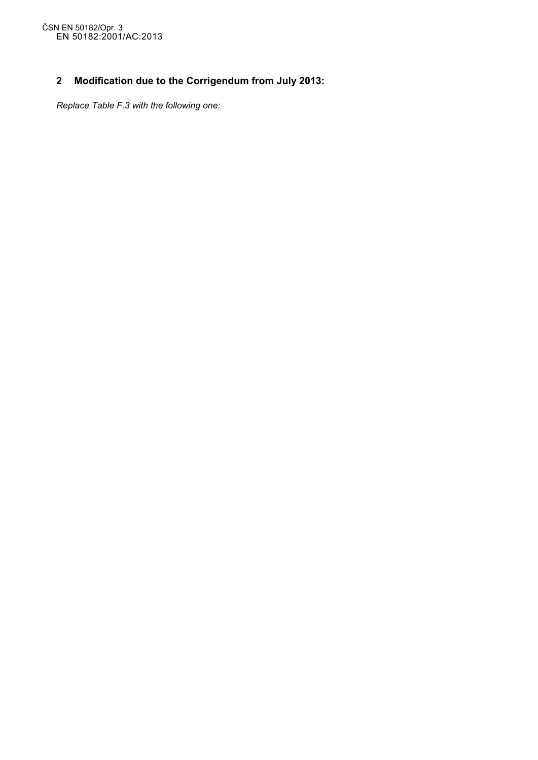EN 50182:2001/AC:2013 ČSN EN 50182/Opr. 3

## **2 Modification due to the Corrigendum from July 2013:**

*Replace Table F.3 with the following one:*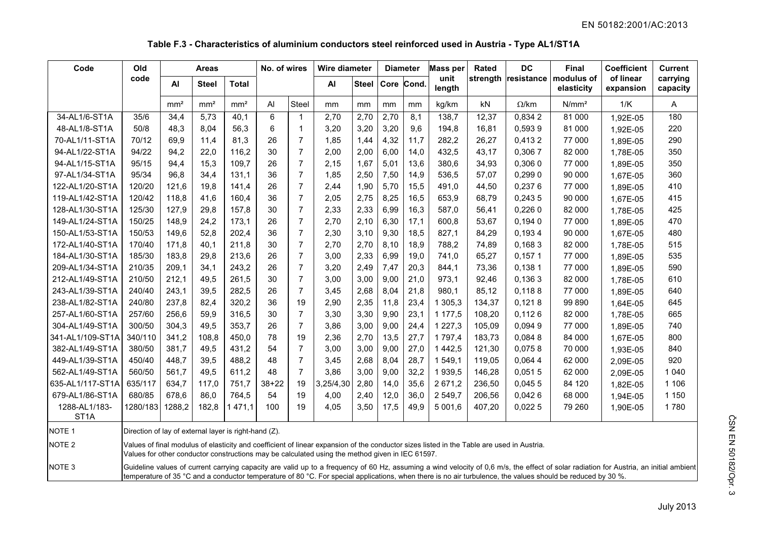| Code                               | Old      |                 | <b>Areas</b>    |                 | No. of wires |                | <b>Wire diameter</b> |              |            | <b>Diameter</b> | <b>Mass per</b> | <b>Rated</b> | <b>DC</b>           | <b>Final</b>             | <b>Coefficient</b>     | <b>Current</b>       |
|------------------------------------|----------|-----------------|-----------------|-----------------|--------------|----------------|----------------------|--------------|------------|-----------------|-----------------|--------------|---------------------|--------------------------|------------------------|----------------------|
|                                    | code     | AI              | <b>Steel</b>    | <b>Total</b>    |              |                | <b>AI</b>            | <b>Steel</b> | Core Cond. |                 | unit<br>length  |              | strength resistance | modulus of<br>elasticity | of linear<br>expansion | carrying<br>capacity |
|                                    |          | mm <sup>2</sup> | mm <sup>2</sup> | mm <sup>2</sup> | $\mathsf{A}$ | Steel          | mm                   | mm           | mm         | mm              | kg/km           | kN           | $\Omega$ /km        | N/mm <sup>2</sup>        | 1/K                    | A                    |
| 34-AL1/6-ST1A                      | 35/6     | 34,4            | 5,73            | 40,1            | 6            | $\mathbf{1}$   | 2,70                 | 2,70         | 2,70       | 8,1             | 138,7           | 12,37        | 0,8342              | 81 000                   | 1,92E-05               | 180                  |
| 48-AL1/8-ST1A                      | 50/8     | 48,3            | 8,04            | 56,3            | 6            | $\mathbf{1}$   | 3,20                 | 3,20         | 3,20       | 9,6             | 194,8           | 16,81        | 0,5939              | 81 000                   | 1,92E-05               | 220                  |
| 70-AL1/11-ST1A                     | 70/12    | 69,9            | 11,4            | 81.3            | 26           | $\overline{7}$ | 1,85                 | 1,44         | 4,32       | 11,7            | 282,2           | 26,27        | 0,4132              | 77 000                   | 1,89E-05               | 290                  |
| 94-AL1/22-ST1A                     | 94/22    | 94,2            | 22,0            | 116,2           | 30           | $\overline{7}$ | 2,00                 | 2,00         | 6,00       | 14,0            | 432.5           | 43,17        | 0,3067              | 82 000                   | 1,78E-05               | 350                  |
| 94-AL1/15-ST1A                     | 95/15    | 94,4            | 15,3            | 109,7           | 26           | $\overline{7}$ | 2,15                 | 1,67         | 5,01       | 13,6            | 380.6           | 34,93        | 0,3060              | 77 000                   | 1,89E-05               | 350                  |
| 97-AL1/34-ST1A                     | 95/34    | 96,8            | 34,4            | 131.1           | 36           | $\overline{7}$ | 1.85                 | 2,50         | 7,50       | 14,9            | 536.5           | 57,07        | 0.2990              | 90 000                   | 1,67E-05               | 360                  |
| 122-AL1/20-ST1A                    | 120/20   | 121,6           | 19,8            | 141,4           | 26           | $\overline{7}$ | 2,44                 | 1,90         | 5,70       | 15,5            | 491,0           | 44,50        | 0,2376              | 77 000                   | 1.89E-05               | 410                  |
| 119-AL1/42-ST1A                    | 120/42   | 118,8           | 41,6            | 160.4           | 36           | $\overline{7}$ | 2,05                 | 2,75         | 8,25       | 16,5            | 653.9           | 68,79        | 0,2435              | 90 000                   | 1,67E-05               | 415                  |
| 128-AL1/30-ST1A                    | 125/30   | 127,9           | 29,8            | 157.8           | 30           | $\overline{7}$ | 2,33                 | 2,33         | 6,99       | 16,3            | 587,0           | 56,41        | 0,2260              | 82 000                   | 1,78E-05               | 425                  |
| 149-AL1/24-ST1A                    | 150/25   | 148.9           | 24.2            | 173.1           | 26           | $\overline{7}$ | 2,70                 | 2,10         | 6,30       | 17,1            | 600.8           | 53.67        | 0.1940              | 77 000                   | 1,89E-05               | 470                  |
| 150-AL1/53-ST1A                    | 150/53   | 149,6           | 52,8            | 202,4           | 36           | $\overline{7}$ | 2,30                 | 3,10         | 9,30       | 18,5            | 827,1           | 84,29        | 0,1934              | 90 000                   | 1,67E-05               | 480                  |
| 172-AL1/40-ST1A                    | 170/40   | 171,8           | 40.1            | 211,8           | 30           | $\overline{7}$ | 2,70                 | 2,70         | 8,10       | 18.9            | 788.2           | 74,89        | 0.1683              | 82 000                   | 1,78E-05               | 515                  |
| 184-AL1/30-ST1A                    | 185/30   | 183,8           | 29,8            | 213,6           | 26           | $\overline{7}$ | 3,00                 | 2,33         | 6,99       | 19.0            | 741.0           | 65,27        | 0,1571              | 77 000                   | 1,89E-05               | 535                  |
| 209-AL1/34-ST1A                    | 210/35   | 209.1           | 34,1            | 243.2           | 26           | $\overline{7}$ | 3,20                 | 2,49         | 7,47       | 20,3            | 844,1           | 73,36        | 0,1381              | 77 000                   | 1,89E-05               | 590                  |
| 212-AL1/49-ST1A                    | 210/50   | 212,1           | 49,5            | 261,5           | 30           | $\overline{7}$ | 3,00                 | 3,00         | 9,00       | 21,0            | 973,1           | 92,46        | 0,1363              | 82 000                   | 1,78E-05               | 610                  |
| 243-AL1/39-ST1A                    | 240/40   | 243,1           | 39,5            | 282.5           | 26           | $\overline{7}$ | 3,45                 | 2,68         | 8,04       | 21,8            | 980.1           | 85,12        | 0,1188              | 77 000                   | 1,89E-05               | 640                  |
| 238-AL1/82-ST1A                    | 240/80   | 237,8           | 82,4            | 320,2           | 36           | 19             | 2,90                 | 2,35         | 11,8       | 23,4            | 1 3 0 5 , 3     | 134,37       | 0,1218              | 99 890                   | 1,64E-05               | 645                  |
| 257-AL1/60-ST1A                    | 257/60   | 256,6           | 59,9            | 316,5           | 30           | $\overline{7}$ | 3,30                 | 3,30         | 9,90       | 23,1            | 1 177,5         | 108,20       | 0,1126              | 82 000                   | 1,78E-05               | 665                  |
| 304-AL1/49-ST1A                    | 300/50   | 304,3           | 49,5            | 353.7           | 26           | $\overline{7}$ | 3,86                 | 3,00         | 9,00       | 24,4            | 227,3<br>1      | 105,09       | 0,0949              | 77 000                   | 1,89E-05               | 740                  |
| 341-AL1/109-ST1A                   | 340/110  | 341,2           | 108.8           | 450.0           | 78           | 19             | 2,36                 | 2,70         | 13,5       | 27,7            | 1 7 9 7,4       | 183,73       | 0,0848              | 84 000                   | 1,67E-05               | 800                  |
| 382-AL1/49-ST1A                    | 380/50   | 381,7           | 49.5            | 431.2           | 54           | $\overline{7}$ | 3,00                 | 3,00         | 9,00       | 27,0            | 1442,5          | 121,30       | 0.0758              | 70 000                   | 1,93E-05               | 840                  |
| 449-AL1/39-ST1A                    | 450/40   | 448.7           | 39,5            | 488.2           | 48           | $\overline{7}$ | 3,45                 | 2,68         | 8,04       | 28,7            | 1 549,1         | 119,05       | 0.0644              | 62 000                   | 2,09E-05               | 920                  |
| 562-AL1/49-ST1A                    | 560/50   | 561,7           | 49,5            | 611,2           | 48           | $\overline{7}$ | 3,86                 | 3,00         | 9,00       | 32,2            | 1939,5          | 146,28       | 0,0515              | 62 000                   | 2,09E-05               | 1 0 4 0              |
| 635-AL1/117-ST1A                   | 635/117  | 634,7           | 117.0           | 751.7           | $38+22$      | 19             | 3,25/4,30            | 2,80         | 14,0       | 35,6            | 2 671.2         | 236,50       | 0,0455              | 84 120                   | 1,82E-05               | 1 1 0 6              |
| 679-AL1/86-ST1A                    | 680/85   | 678,6           | 86.0            | 764.5           | 54           | 19             | 4,00                 | 2,40         | 12,0       | 36.0            | 2 549.7         | 206,56       | 0,0426              | 68 000                   | 1,94E-05               | 1 1 5 0              |
| 1288-AL1/183-<br>ST <sub>1</sub> A | 1280/183 | 1288,2          | 182,8           | 471,1           | 100          | 19             | 4,05                 | 3,50         | 17,5       | 49,9            | 5 0 0 1 , 6     | 407,20       | 0,0225              | 79 260                   | 1.90E-05               | 1780                 |

**Table F.3 - Characteristics of aluminium conductors steel reinforced used in Austria - Type AL1/ST1A** 

NOTE 1 Direction of lay of external layer is right-hand (Z).

NOTE 2 Values of final modulus of elasticity and coefficient of linear expansion of the conductor sizes listed in the Table are used in Austria. Values for other conductor constructions may be calculated using the method given in IEC 61597.

NOTE 3 Guideline values of current carrying capacity are valid up to a frequency of 60 Hz, assuming a wind velocity of 0,6 m/s, the effect of solar radiation for Austria, an initial ambient temperature of 35 °C and a conductor temperature of 80 °C. For special applications, when there is no air turbulence, the values should be reduced by 30 %.